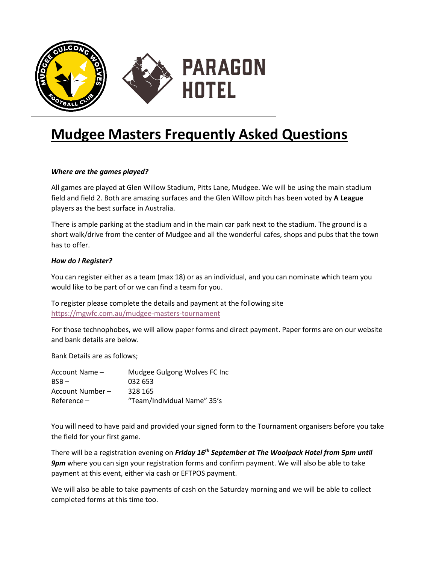

# **Mudgee Masters Frequently Asked Questions**

## *Where are the games played?*

All games are played at Glen Willow Stadium, Pitts Lane, Mudgee. We will be using the main stadium field and field 2. Both are amazing surfaces and the Glen Willow pitch has been voted by **A League** players as the best surface in Australia.

There is ample parking at the stadium and in the main car park next to the stadium. The ground is a short walk/drive from the center of Mudgee and all the wonderful cafes, shops and pubs that the town has to offer.

#### *How do I Register?*

You can register either as a team (max 18) or as an individual, and you can nominate which team you would like to be part of or we can find a team for you.

To register please complete the details and payment at the following site https://mgwfc.com.au/mudgee-masters-tournament

For those technophobes, we will allow paper forms and direct payment. Paper forms are on our website and bank details are below.

Bank Details are as follows;

| Account Name -   | Mudgee Gulgong Wolves FC Inc |
|------------------|------------------------------|
| $BSB -$          | 032 653                      |
| Account Number - | 328 165                      |
| $Reference -$    | "Team/Individual Name" 35's  |

You will need to have paid and provided your signed form to the Tournament organisers before you take the field for your first game.

There will be a registration evening on *Friday 16th September at The Woolpack Hotel from 5pm until 9pm* where you can sign your registration forms and confirm payment. We will also be able to take payment at this event, either via cash or EFTPOS payment.

We will also be able to take payments of cash on the Saturday morning and we will be able to collect completed forms at this time too.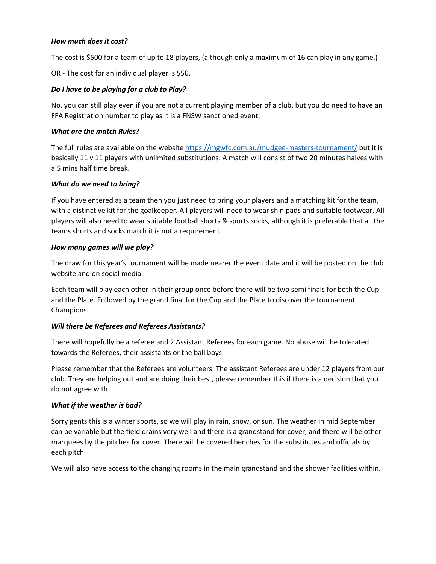#### *How much does it cost?*

The cost is \$500 for a team of up to 18 players, (although only a maximum of 16 can play in any game.)

OR - The cost for an individual player is \$50.

## *Do I have to be playing for a club to Play?*

No, you can still play even if you are not a current playing member of a club, but you do need to have an FFA Registration number to play as it is a FNSW sanctioned event.

## *What are the match Rules?*

The full rules are available on the website https://mgwfc.com.au/mudgee-masters-tournament/ but it is basically 11 v 11 players with unlimited substitutions. A match will consist of two 20 minutes halves with a 5 mins half time break.

#### *What do we need to bring?*

If you have entered as a team then you just need to bring your players and a matching kit for the team, with a distinctive kit for the goalkeeper. All players will need to wear shin pads and suitable footwear. All players will also need to wear suitable football shorts & sports socks, although it is preferable that all the teams shorts and socks match it is not a requirement.

#### *How many games will we play?*

The draw for this year's tournament will be made nearer the event date and it will be posted on the club website and on social media.

Each team will play each other in their group once before there will be two semi finals for both the Cup and the Plate. Followed by the grand final for the Cup and the Plate to discover the tournament Champions.

#### *Will there be Referees and Referees Assistants?*

There will hopefully be a referee and 2 Assistant Referees for each game. No abuse will be tolerated towards the Referees, their assistants or the ball boys.

Please remember that the Referees are volunteers. The assistant Referees are under 12 players from our club. They are helping out and are doing their best, please remember this if there is a decision that you do not agree with.

#### *What if the weather is bad?*

Sorry gents this is a winter sports, so we will play in rain, snow, or sun. The weather in mid September can be variable but the field drains very well and there is a grandstand for cover, and there will be other marquees by the pitches for cover. There will be covered benches for the substitutes and officials by each pitch.

We will also have access to the changing rooms in the main grandstand and the shower facilities within.